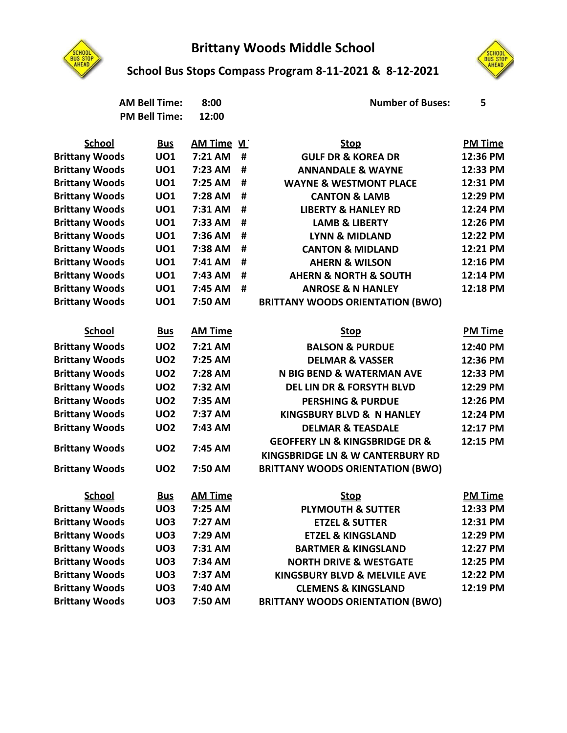## **Brittany Woods Middle School**



## **S STO**

**School Bus Stops Compass Program 8-11-2021 & 8-12-2021**

|                       | <b>AM Bell Time:</b> | 8:00           |          | <b>Number of Buses:</b>                       | 5              |
|-----------------------|----------------------|----------------|----------|-----------------------------------------------|----------------|
|                       | <b>PM Bell Time:</b> | 12:00          |          |                                               |                |
| <b>School</b>         | <b>Bus</b>           | <u>AM Time</u> | <u>м</u> | <u>Stop</u>                                   | <b>PM Time</b> |
| <b>Brittany Woods</b> | <b>UO1</b>           | 7:21 AM        | #        | <b>GULF DR &amp; KOREA DR</b>                 | 12:36 PM       |
| <b>Brittany Woods</b> | <b>UO1</b>           | 7:23 AM        | #        | <b>ANNANDALE &amp; WAYNE</b>                  | 12:33 PM       |
| <b>Brittany Woods</b> | <b>UO1</b>           | 7:25 AM        | #        | <b>WAYNE &amp; WESTMONT PLACE</b>             | 12:31 PM       |
| <b>Brittany Woods</b> | <b>UO1</b>           | 7:28 AM        | #        | <b>CANTON &amp; LAMB</b>                      | 12:29 PM       |
| <b>Brittany Woods</b> | <b>UO1</b>           | 7:31 AM        | #        | <b>LIBERTY &amp; HANLEY RD</b>                | 12:24 PM       |
| <b>Brittany Woods</b> | <b>UO1</b>           | 7:33 AM        | #        | <b>LAMB &amp; LIBERTY</b>                     | 12:26 PM       |
| <b>Brittany Woods</b> | <b>UO1</b>           | 7:36 AM        | #        | <b>LYNN &amp; MIDLAND</b>                     | 12:22 PM       |
| <b>Brittany Woods</b> | <b>UO1</b>           | 7:38 AM        | #        | <b>CANTON &amp; MIDLAND</b>                   | 12:21 PM       |
| <b>Brittany Woods</b> | <b>UO1</b>           | 7:41 AM        | #        | <b>AHERN &amp; WILSON</b>                     | 12:16 PM       |
| <b>Brittany Woods</b> | <b>UO1</b>           | 7:43 AM        | #        | <b>AHERN &amp; NORTH &amp; SOUTH</b>          | 12:14 PM       |
| <b>Brittany Woods</b> | <b>UO1</b>           | 7:45 AM        | #        | <b>ANROSE &amp; N HANLEY</b>                  | 12:18 PM       |
| <b>Brittany Woods</b> | <b>UO1</b>           | 7:50 AM        |          | <b>BRITTANY WOODS ORIENTATION (BWO)</b>       |                |
| <b>School</b>         | <u>Bus</u>           | <b>AM Time</b> |          | <b>Stop</b>                                   | <b>PM Time</b> |
| <b>Brittany Woods</b> | <b>UO2</b>           | 7:21 AM        |          | <b>BALSON &amp; PURDUE</b>                    | 12:40 PM       |
| <b>Brittany Woods</b> | <b>UO2</b>           | 7:25 AM        |          | <b>DELMAR &amp; VASSER</b>                    | 12:36 PM       |
| <b>Brittany Woods</b> | <b>UO2</b>           | 7:28 AM        |          | N BIG BEND & WATERMAN AVE                     | 12:33 PM       |
| <b>Brittany Woods</b> | <b>UO2</b>           | 7:32 AM        |          | <b>DEL LIN DR &amp; FORSYTH BLVD</b>          | 12:29 PM       |
| <b>Brittany Woods</b> | <b>UO2</b>           | 7:35 AM        |          | <b>PERSHING &amp; PURDUE</b>                  | 12:26 PM       |
| <b>Brittany Woods</b> | <b>UO2</b>           | 7:37 AM        |          | <b>KINGSBURY BLVD &amp; N HANLEY</b>          | 12:24 PM       |
| <b>Brittany Woods</b> | <b>UO2</b>           | 7:43 AM        |          | <b>DELMAR &amp; TEASDALE</b>                  | 12:17 PM       |
|                       |                      |                |          | <b>GEOFFERY LN &amp; KINGSBRIDGE DR &amp;</b> | 12:15 PM       |
| <b>Brittany Woods</b> | <b>UO2</b>           | 7:45 AM        |          | KINGSBRIDGE LN & W CANTERBURY RD              |                |
| <b>Brittany Woods</b> | <b>UO2</b>           | 7:50 AM        |          | <b>BRITTANY WOODS ORIENTATION (BWO)</b>       |                |
| <b>School</b>         | <u>Bus</u>           | <b>AM Time</b> |          | <b>Stop</b>                                   | <b>PM Time</b> |
| <b>Brittany Woods</b> | UO <sub>3</sub>      | 7:25 AM        |          | <b>PLYMOUTH &amp; SUTTER</b>                  | 12:33 PM       |
| <b>Brittany Woods</b> | UO <sub>3</sub>      | 7:27 AM        |          | <b>ETZEL &amp; SUTTER</b>                     | 12:31 PM       |
| <b>Brittany Woods</b> | UO <sub>3</sub>      | 7:29 AM        |          | <b>ETZEL &amp; KINGSLAND</b>                  | 12:29 PM       |
| <b>Brittany Woods</b> | UO <sub>3</sub>      | 7:31 AM        |          | <b>BARTMER &amp; KINGSLAND</b>                | 12:27 PM       |
| <b>Brittany Woods</b> | UO <sub>3</sub>      | 7:34 AM        |          | <b>NORTH DRIVE &amp; WESTGATE</b>             | 12:25 PM       |
| <b>Brittany Woods</b> | UO <sub>3</sub>      | 7:37 AM        |          | <b>KINGSBURY BLVD &amp; MELVILE AVE</b>       | 12:22 PM       |
| <b>Brittany Woods</b> | UO <sub>3</sub>      | 7:40 AM        |          | <b>CLEMENS &amp; KINGSLAND</b>                | 12:19 PM       |
| <b>Brittany Woods</b> | UO <sub>3</sub>      | 7:50 AM        |          | <b>BRITTANY WOODS ORIENTATION (BWO)</b>       |                |